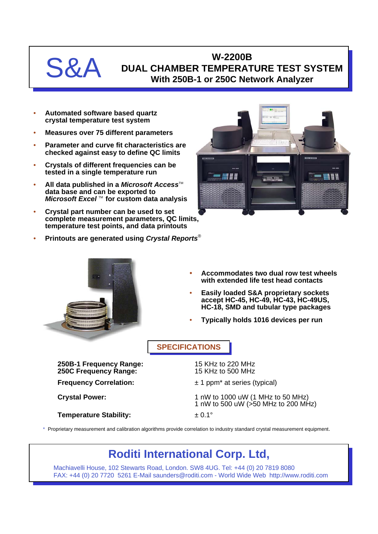

## **W-2200B DUAL CHAMBER TEMPERATURE TEST SYSTEM With 250B-1 or 250C Network Analyzer**

- **Automated software based quartz crystal temperature test system**
- **Measures over 75 different parameters**
- **Parameter and curve fit characteristics are checked against easy to define QC limits**
- **Crystals of different frequencies can be tested in a single temperature run**
- **All data published in a Microsoft Access™ data base and can be exported to** *Microsoft Excel* TM **for custom data analysis**
- **Crystal part number can be used to set complete measurement parameters, QC limits, temperature test points, and data printouts**
- **Printouts are generated using** *Crystal Reports*®





- **Accommodates two dual row test wheels with extended life test head contacts**
- **Easily loaded S&A proprietary sockets accept HC-45, HC-49, HC-43, HC-49US, HC-18, SMD and tubular type packages**
- **Typically holds 1016 devices per run**

**SPECIFICATIONS**

**250B-1 Frequency Range:** 15 KHz to 220 MHz **250C Frequency Range: Frequency Correlation:**  $\pm 1$  ppm<sup>\*</sup> at series (typical) **Crystal Power:** 1 nW to 1000 uW (1 MHz to 50 MHz) 1 nW to 500 uW (>50 MHz to 200 MHz) **Temperature Stability:**  $\qquad \qquad \pm 0.1^{\circ}$ 

\* Proprietary measurement and calibration algorithms provide correlation to industry standard crystal measurement equipment.

## **Roditi International Corp. Ltd,**

Machiavelli House, 102 Stewarts Road, London. SW8 4UG. Tel: +44 (0) 20 7819 8080 FAX: +44 (0) 20 7720 5261 E-Mail saunders@roditi.com - World Wide Web http://www.roditi.com